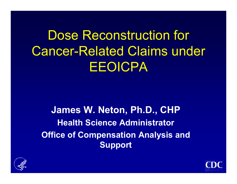Dose Reconstruction for Cancer-Related Claims under EEOICPA

**James W. Neton, Ph.D., CHP Health Science AdministratorOffice of Compensation Analysis and Support**



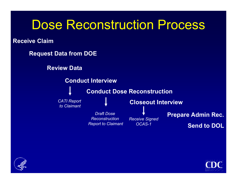### Dose Reconstruction Process

**Receive Claim**





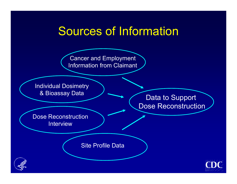#### Sources of Information

Cancer and Employment Information from Claimant

Individual Dosimetry

#### & Bioassay Data **Data to Support** Dose Reconstruction

Dose Reconstruction Interview

Site Profile Data



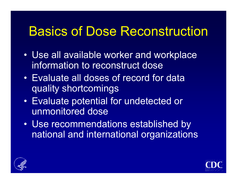### Basics of Dose Reconstruction

- Use all available worker and workplace information to reconstruct dose
- Evaluate all doses of record for data quality shortcomings
- $\bullet$  Evaluate potential for undetected or unmonitored dose
- Use recommendations established by national and international organizations



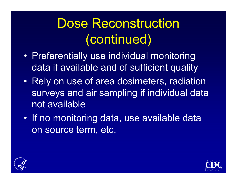# Dose Reconstruction (continued)

- $\bullet$  Preferentially use individual monitoring data if available and of sufficient quality
- $\bullet$  Rely on use of area dosimeters, radiation surveys and air sampling if individual data not available
- $\bullet$  If no monitoring data, use available data on source term, etc.



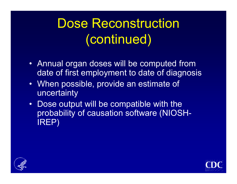# Dose Reconstruction (continued)

- Annual organ doses will be computed from date of first employment to date of diagnosis
- When possible, provide an estimate of uncertainty
- Dose output will be compatible with the probability of causation software (NIOSH-IREP)



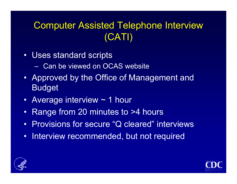#### Computer Assisted Telephone Interview (CATI)

- Uses standard scripts
	- Can be viewed on OCAS website
- Approved by the Office of Management and Budget
- Average interview ~ 1 hour
- Range from 20 minutes to >4 hours
- Provisions for secure "Q cleared" interviews
- $\bullet$ Interview recommended, but not required



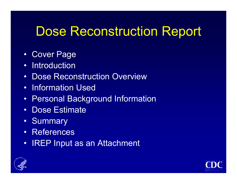### Dose Reconstruction Report

- Cover Page
- $\bullet$ Introduction
- $\bullet$ Dose Reconstruction Overview
- Information Used
- Personal Background Information
- Dose Estimate
- Summary
- References
- $\bullet$ IREP Input as an Attachment



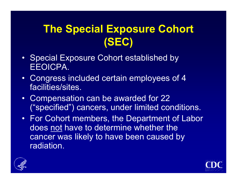### **The Special Exposure Cohort (SEC)**

- Special Exposure Cohort established by EEOICPA.
- Congress included certain employees of 4 facilities/sites.
- Compensation can be awarded for 22 ("specified") cancers, under limited conditions.
- For Cohort members, the Department of Labor does not have to determine whether the cancer was likely to have been caused by radiation.



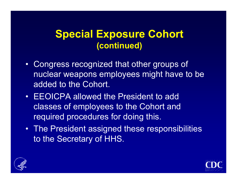#### **Special Exposure Cohort (continued)**

- Congress recognized that other groups of nuclear weapons employees might have to be added to the Cohort.
- EEOICPA allowed the President to add classes of employees to the Cohort and required procedures for doing this.
- The President assigned these responsibilities to the Secretary of HHS.



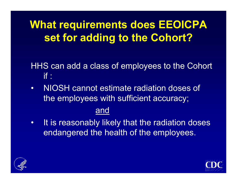### **What requirements does EEOICPA set for adding to the Cohort?**

HHS can add a class of employees to the Cohort if :

- $\bullet$  NIOSH cannot estimate radiation doses of the employees with sufficient accuracy; and
- $\bullet$ It is reasonably likely that the radiation doses endangered the health of the employees.



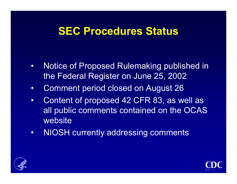#### **SEC Procedures Status**

- $\bullet$  Notice of Proposed Rulemaking published in the Federal Register on June 25, 2002
- $\bullet$ Comment period closed on August 26
- $\bullet$  Content of proposed 42 CFR 83, as well as all public comments contained on the OCAS website
- $\bullet$ NIOSH currently addressing comments